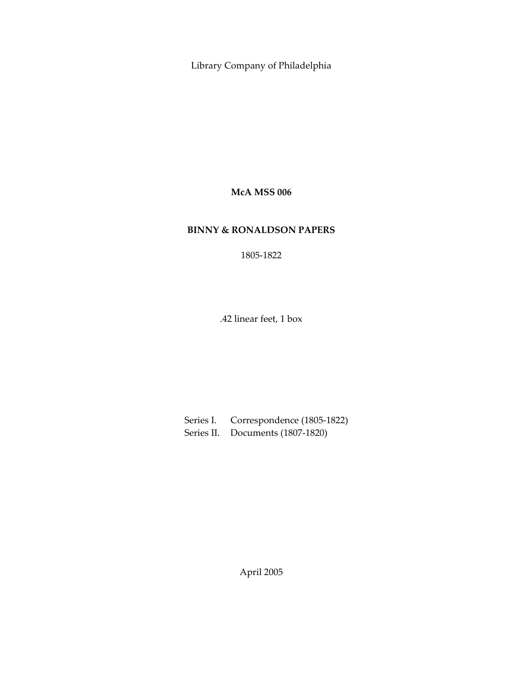Library Company of Philadelphia

**McA MSS 006**

# **BINNY & RONALDSON PAPERS**

1805‐1822

.42 linear feet, 1 box

Series I. Correspondence (1805‐1822) Series II. Documents (1807‐1820)

April 2005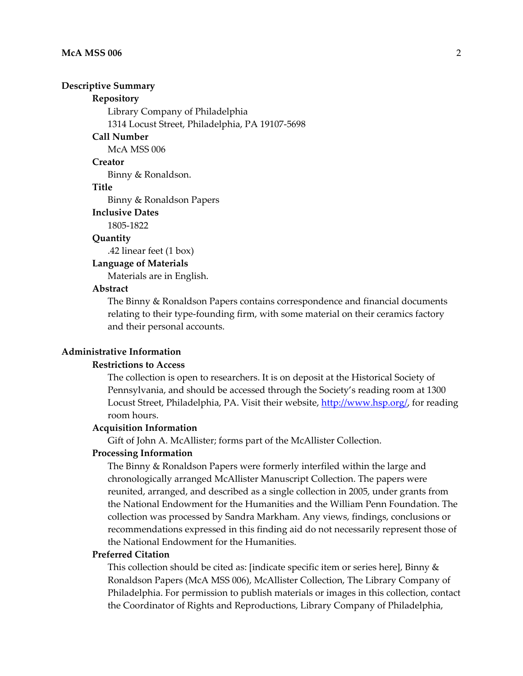#### **Descriptive Summary**

## **Repository**

Library Company of Philadelphia

1314 Locust Street, Philadelphia, PA 19107‐5698

## **Call Number**

McA MSS 006

#### **Creator**

Binny & Ronaldson.

## **Title**

Binny & Ronaldson Papers

#### **Inclusive Dates**

1805‐1822

## **Quantity**

.42 linear feet (1 box)

## **Language of Materials**

Materials are in English.

#### **Abstract**

The Binny & Ronaldson Papers contains correspondence and financial documents relating to their type-founding firm, with some material on their ceramics factory and their personal accounts.

## **Administrative Information**

## **Restrictions to Access**

The collection is open to researchers. It is on deposit at the Historical Society of Pennsylvania, and should be accessed through the Society's reading room at 1300 Locust Street, Philadelphia, PA. Visit their website, http://www.hsp.org/, for reading room hours.

#### **Acquisition Information**

Gift of John A. McAllister; forms part of the McAllister Collection.

#### **Processing Information**

The Binny & Ronaldson Papers were formerly interfiled within the large and chronologically arranged McAllister Manuscript Collection. The papers were reunited, arranged, and described as a single collection in 2005, under grants from the National Endowment for the Humanities and the William Penn Foundation. The collection was processed by Sandra Markham. Any views, findings, conclusions or recommendations expressed in this finding aid do not necessarily represent those of the National Endowment for the Humanities.

## **Preferred Citation**

This collection should be cited as: [indicate specific item or series here], Binny & Ronaldson Papers (McA MSS 006), McAllister Collection, The Library Company of Philadelphia. For permission to publish materials or images in this collection, contact the Coordinator of Rights and Reproductions, Library Company of Philadelphia,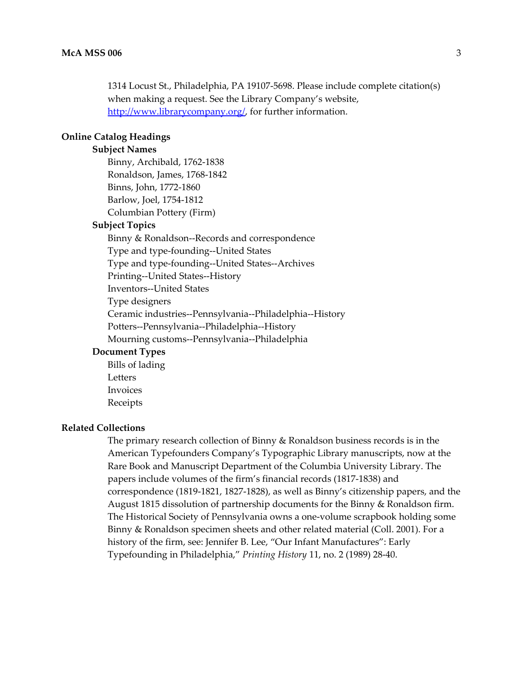1314 Locust St., Philadelphia, PA 19107‐5698. Please include complete citation(s) when making a request. See the Library Company's website, http://www.librarycompany.org/, for further information.

## **Online Catalog Headings**

## **Subject Names**

Binny, Archibald, 1762‐1838 Ronaldson, James, 1768‐1842 Binns, John, 1772‐1860 Barlow, Joel, 1754‐1812 Columbian Pottery (Firm)

## **Subject Topics**

Binny & Ronaldson‐‐Records and correspondence Type and type‐founding‐‐United States Type and type‐founding‐‐United States‐‐Archives Printing‐‐United States‐‐History Inventors‐‐United States Type designers Ceramic industries‐‐Pennsylvania‐‐Philadelphia‐‐History Potters‐‐Pennsylvania‐‐Philadelphia‐‐History Mourning customs‐‐Pennsylvania‐‐Philadelphia

## **Document Types**

Bills of lading Letters Invoices Receipts

#### **Related Collections**

The primary research collection of Binny & Ronaldson business records is in the American Typefounders Company's Typographic Library manuscripts, now at the Rare Book and Manuscript Department of the Columbia University Library. The papers include volumes of the firm's financial records (1817‐1838) and correspondence (1819‐1821, 1827‐1828), as well as Binny's citizenship papers, and the August 1815 dissolution of partnership documents for the Binny & Ronaldson firm. The Historical Society of Pennsylvania owns a one‐volume scrapbook holding some Binny & Ronaldson specimen sheets and other related material (Coll. 2001). For a history of the firm, see: Jennifer B. Lee, "Our Infant Manufactures": Early Typefounding in Philadelphia," *Printing History* 11, no. 2 (1989) 28‐40.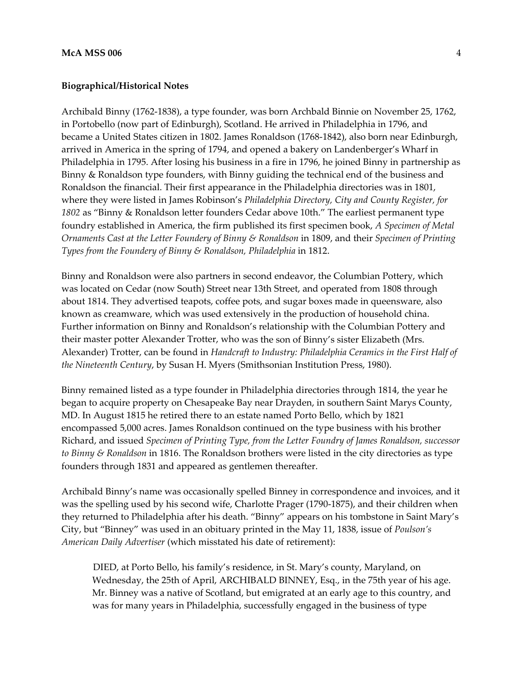#### **Biographical/Historical Notes**

Archibald Binny (1762‐1838), a type founder, was born Archbald Binnie on November 25, 1762, in Portobello (now part of Edinburgh), Scotland. He arrived in Philadelphia in 1796, and became a United States citizen in 1802. James Ronaldson (1768‐1842), also born near Edinburgh, arrived in America in the spring of 1794, and opened a bakery on Landenberger's Wharf in Philadelphia in 1795. After losing his business in a fire in 1796, he joined Binny in partnership as Binny & Ronaldson type founders, with Binny guiding the technical end of the business and Ronaldson the financial. Their first appearance in the Philadelphia directories was in 1801, where they were listed in James Robinson's *Philadelphia Directory, City and County Register, for 1802* as "Binny & Ronaldson letter founders Cedar above 10th." The earliest permanent type foundry established in America, the firm published its first specimen book, *A Specimen of Metal Ornaments Cast at the Letter Foundery of Binny & Ronaldson* in 1809, and their *Specimen of Printing Types from the Foundery of Binny & Ronaldson, Philadelphia* in 1812.

Binny and Ronaldson were also partners in second endeavor, the Columbian Pottery, which was located on Cedar (now South) Street near 13th Street, and operated from 1808 through about 1814. They advertised teapots, coffee pots, and sugar boxes made in queensware, also known as creamware, which was used extensively in the production of household china. Further information on Binny and Ronaldson's relationship with the Columbian Pottery and their master potter Alexander Trotter, who was the son of Binny's sister Elizabeth (Mrs. Alexander) Trotter, can be found in *Handcraft to Industry: Philadelphia Ceramics in the First Half of the Nineteenth Century*, by Susan H. Myers (Smithsonian Institution Press, 1980).

Binny remained listed as a type founder in Philadelphia directories through 1814, the year he began to acquire property on Chesapeake Bay near Drayden, in southern Saint Marys County, MD. In August 1815 he retired there to an estate named Porto Bello, which by 1821 encompassed 5,000 acres. James Ronaldson continued on the type business with his brother Richard, and issued *Specimen of Printing Type, from the Letter Foundry of James Ronaldson, successor to Binny & Ronaldson* in 1816. The Ronaldson brothers were listed in the city directories as type founders through 1831 and appeared as gentlemen thereafter.

Archibald Binny's name was occasionally spelled Binney in correspondence and invoices, and it was the spelling used by his second wife, Charlotte Prager (1790‐1875), and their children when they returned to Philadelphia after his death. "Binny" appears on his tombstone in Saint Mary's City, but "Binney" was used in an obituary printed in the May 11, 1838, issue of *Poulson's American Daily Advertiser* (which misstated his date of retirement):

DIED, at Porto Bello, his family's residence, in St. Mary's county, Maryland, on Wednesday, the 25th of April, ARCHIBALD BINNEY, Esq., in the 75th year of his age. Mr. Binney was a native of Scotland, but emigrated at an early age to this country, and was for many years in Philadelphia, successfully engaged in the business of type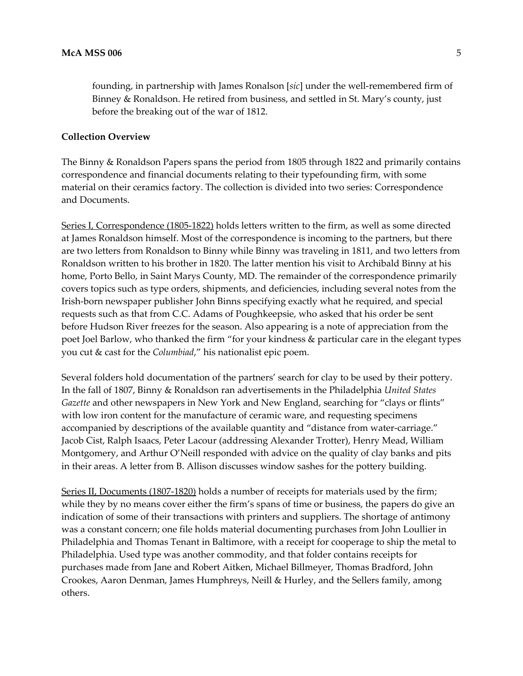founding, in partnership with James Ronalson [*sic*] under the well‐remembered firm of Binney & Ronaldson. He retired from business, and settled in St. Mary's county, just before the breaking out of the war of 1812.

## **Collection Overview**

The Binny & Ronaldson Papers spans the period from 1805 through 1822 and primarily contains correspondence and financial documents relating to their typefounding firm, with some material on their ceramics factory. The collection is divided into two series: Correspondence and Documents.

Series I, Correspondence (1805-1822) holds letters written to the firm, as well as some directed at James Ronaldson himself. Most of the correspondence is incoming to the partners, but there are two letters from Ronaldson to Binny while Binny was traveling in 1811, and two letters from Ronaldson written to his brother in 1820. The latter mention his visit to Archibald Binny at his home, Porto Bello, in Saint Marys County, MD. The remainder of the correspondence primarily covers topics such as type orders, shipments, and deficiencies, including several notes from the Irish‐born newspaper publisher John Binns specifying exactly what he required, and special requests such as that from C.C. Adams of Poughkeepsie, who asked that his order be sent before Hudson River freezes for the season. Also appearing is a note of appreciation from the poet Joel Barlow, who thanked the firm "for your kindness & particular care in the elegant types you cut & cast for the *Columbiad*," his nationalist epic poem.

Several folders hold documentation of the partners' search for clay to be used by their pottery. In the fall of 1807, Binny & Ronaldson ran advertisements in the Philadelphia *United States Gazette* and other newspapers in New York and New England, searching for "clays or flints" with low iron content for the manufacture of ceramic ware, and requesting specimens accompanied by descriptions of the available quantity and "distance from water-carriage." Jacob Cist, Ralph Isaacs, Peter Lacour (addressing Alexander Trotter), Henry Mead, William Montgomery, and Arthur O'Neill responded with advice on the quality of clay banks and pits in their areas. A letter from B. Allison discusses window sashes for the pottery building.

Series II, Documents (1807-1820) holds a number of receipts for materials used by the firm; while they by no means cover either the firm's spans of time or business, the papers do give an indication of some of their transactions with printers and suppliers. The shortage of antimony was a constant concern; one file holds material documenting purchases from John Loullier in Philadelphia and Thomas Tenant in Baltimore, with a receipt for cooperage to ship the metal to Philadelphia. Used type was another commodity, and that folder contains receipts for purchases made from Jane and Robert Aitken, Michael Billmeyer, Thomas Bradford, John Crookes, Aaron Denman, James Humphreys, Neill & Hurley, and the Sellers family, among others.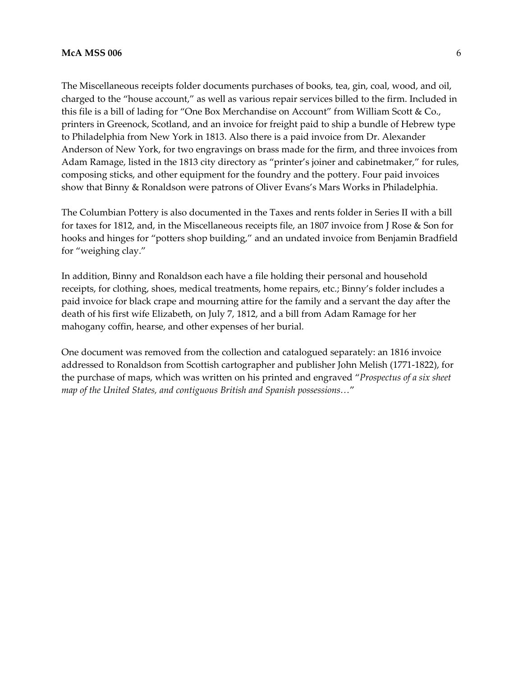#### **McA MSS 006** 6

The Miscellaneous receipts folder documents purchases of books, tea, gin, coal, wood, and oil, charged to the "house account," as well as various repair services billed to the firm. Included in this file is a bill of lading for "One Box Merchandise on Account" from William Scott & Co., printers in Greenock, Scotland, and an invoice for freight paid to ship a bundle of Hebrew type to Philadelphia from New York in 1813. Also there is a paid invoice from Dr. Alexander Anderson of New York, for two engravings on brass made for the firm, and three invoices from Adam Ramage, listed in the 1813 city directory as "printer's joiner and cabinetmaker," for rules, composing sticks, and other equipment for the foundry and the pottery. Four paid invoices show that Binny & Ronaldson were patrons of Oliver Evans's Mars Works in Philadelphia.

The Columbian Pottery is also documented in the Taxes and rents folder in Series II with a bill for taxes for 1812, and, in the Miscellaneous receipts file, an 1807 invoice from J Rose & Son for hooks and hinges for "potters shop building," and an undated invoice from Benjamin Bradfield for "weighing clay."

In addition, Binny and Ronaldson each have a file holding their personal and household receipts, for clothing, shoes, medical treatments, home repairs, etc.; Binny's folder includes a paid invoice for black crape and mourning attire for the family and a servant the day after the death of his first wife Elizabeth, on July 7, 1812, and a bill from Adam Ramage for her mahogany coffin, hearse, and other expenses of her burial.

One document was removed from the collection and catalogued separately: an 1816 invoice addressed to Ronaldson from Scottish cartographer and publisher John Melish (1771‐1822), for the purchase of maps, which was written on his printed and engraved "*Prospectus of a six sheet map of the United States, and contiguous British and Spanish possessions…*"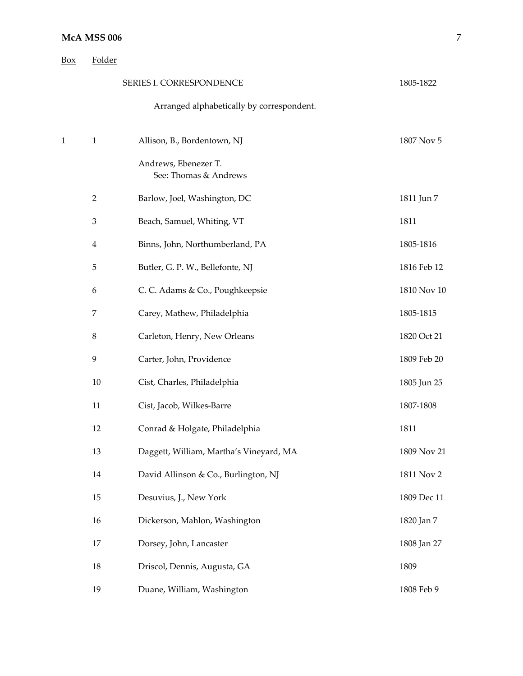| Box          | Folder         |                                               |             |
|--------------|----------------|-----------------------------------------------|-------------|
|              |                | SERIES I. CORRESPONDENCE                      | 1805-1822   |
|              |                | Arranged alphabetically by correspondent.     |             |
| $\mathbf{1}$ | $\mathbf{1}$   | Allison, B., Bordentown, NJ                   | 1807 Nov 5  |
|              |                | Andrews, Ebenezer T.<br>See: Thomas & Andrews |             |
|              | $\overline{2}$ | Barlow, Joel, Washington, DC                  | 1811 Jun 7  |
|              | 3              | Beach, Samuel, Whiting, VT                    | 1811        |
|              | 4              | Binns, John, Northumberland, PA               | 1805-1816   |
|              | 5              | Butler, G. P. W., Bellefonte, NJ              | 1816 Feb 12 |
|              | 6              | C. C. Adams & Co., Poughkeepsie               | 1810 Nov 10 |
|              | 7              | Carey, Mathew, Philadelphia                   | 1805-1815   |
|              | $\,8\,$        | Carleton, Henry, New Orleans                  | 1820 Oct 21 |
|              | 9              | Carter, John, Providence                      | 1809 Feb 20 |
|              | 10             | Cist, Charles, Philadelphia                   | 1805 Jun 25 |
|              | 11             | Cist, Jacob, Wilkes-Barre                     | 1807-1808   |
|              | 12             | Conrad & Holgate, Philadelphia                | 1811        |
|              | 13             | Daggett, William, Martha's Vineyard, MA       | 1809 Nov 21 |
|              | 14             | David Allinson & Co., Burlington, NJ          | 1811 Nov 2  |
|              | 15             | Desuvius, J., New York                        | 1809 Dec 11 |
|              | 16             | Dickerson, Mahlon, Washington                 | 1820 Jan 7  |
|              | 17             | Dorsey, John, Lancaster                       | 1808 Jan 27 |
|              | 18             | Driscol, Dennis, Augusta, GA                  | 1809        |
|              | 19             | Duane, William, Washington                    | 1808 Feb 9  |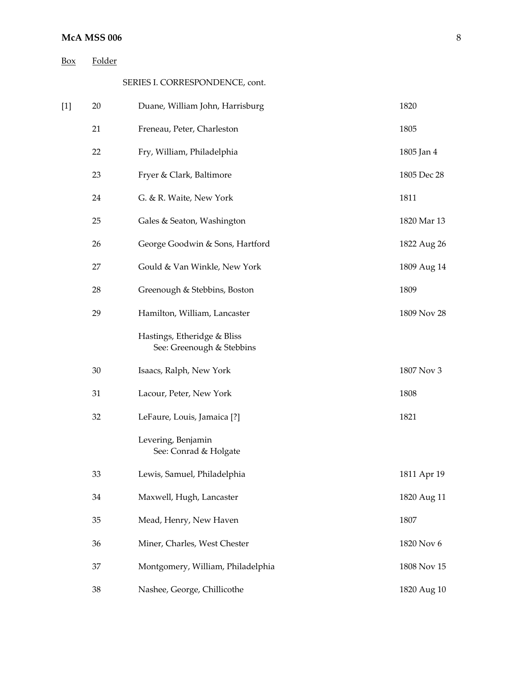# **McA MSS 006**

| <b>Box</b> | Folder |                                                          |             |
|------------|--------|----------------------------------------------------------|-------------|
|            |        | SERIES I. CORRESPONDENCE, cont.                          |             |
| $[1]$      | 20     | Duane, William John, Harrisburg                          | 1820        |
|            | 21     | Freneau, Peter, Charleston                               | 1805        |
|            | 22     | Fry, William, Philadelphia                               | 1805 Jan 4  |
|            | 23     | Fryer & Clark, Baltimore                                 | 1805 Dec 28 |
|            | 24     | G. & R. Waite, New York                                  | 1811        |
|            | 25     | Gales & Seaton, Washington                               | 1820 Mar 13 |
|            | 26     | George Goodwin & Sons, Hartford                          | 1822 Aug 26 |
|            | 27     | Gould & Van Winkle, New York                             | 1809 Aug 14 |
|            | 28     | Greenough & Stebbins, Boston                             | 1809        |
|            | 29     | Hamilton, William, Lancaster                             | 1809 Nov 28 |
|            |        | Hastings, Etheridge & Bliss<br>See: Greenough & Stebbins |             |
|            | 30     | Isaacs, Ralph, New York                                  | 1807 Nov 3  |
|            | 31     | Lacour, Peter, New York                                  | 1808        |
|            | 32     | LeFaure, Louis, Jamaica [?]                              | 1821        |
|            |        | Levering, Benjamin<br>See: Conrad & Holgate              |             |
|            | 33     | Lewis, Samuel, Philadelphia                              | 1811 Apr 19 |
|            | 34     | Maxwell, Hugh, Lancaster                                 | 1820 Aug 11 |
|            | 35     | Mead, Henry, New Haven                                   | 1807        |
|            | 36     | Miner, Charles, West Chester                             | 1820 Nov 6  |
|            | 37     | Montgomery, William, Philadelphia                        | 1808 Nov 15 |
|            | 38     | Nashee, George, Chillicothe                              | 1820 Aug 10 |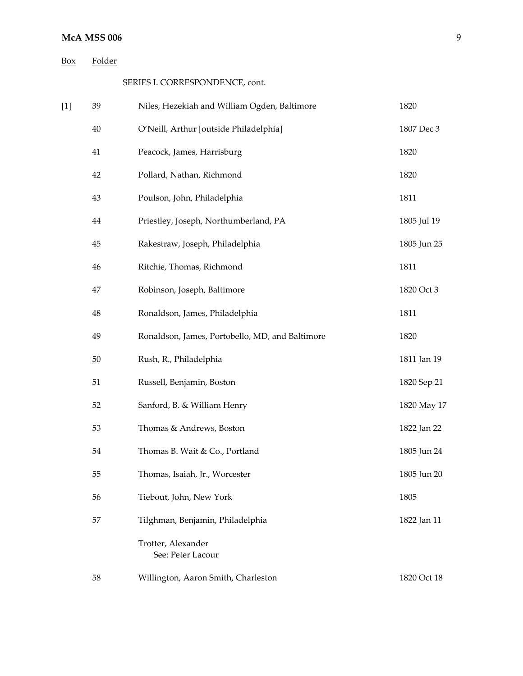# **McA MSS 006**

| Box | Folder |
|-----|--------|
|-----|--------|

SERIES I. CORRESPONDENCE, cont.

| $[1]$ | 39       | Niles, Hezekiah and William Ogden, Baltimore    | 1820        |
|-------|----------|-------------------------------------------------|-------------|
|       | 40       | O'Neill, Arthur [outside Philadelphia]          | 1807 Dec 3  |
|       | 41       | Peacock, James, Harrisburg                      | 1820        |
|       | 42       | Pollard, Nathan, Richmond                       | 1820        |
|       | 43       | Poulson, John, Philadelphia                     | 1811        |
|       | $\bf 44$ | Priestley, Joseph, Northumberland, PA           | 1805 Jul 19 |
|       | 45       | Rakestraw, Joseph, Philadelphia                 | 1805 Jun 25 |
|       | 46       | Ritchie, Thomas, Richmond                       | 1811        |
|       | 47       | Robinson, Joseph, Baltimore                     | 1820 Oct 3  |
|       | 48       | Ronaldson, James, Philadelphia                  | 1811        |
|       | 49       | Ronaldson, James, Portobello, MD, and Baltimore | 1820        |
|       | 50       | Rush, R., Philadelphia                          | 1811 Jan 19 |
|       | 51       | Russell, Benjamin, Boston                       | 1820 Sep 21 |
|       | 52       | Sanford, B. & William Henry                     | 1820 May 17 |
|       | 53       | Thomas & Andrews, Boston                        | 1822 Jan 22 |
|       | 54       | Thomas B. Wait & Co., Portland                  | 1805 Jun 24 |
|       | 55       | Thomas, Isaiah, Jr., Worcester                  | 1805 Jun 20 |
|       | 56       | Tiebout, John, New York                         | 1805        |
|       | 57       | Tilghman, Benjamin, Philadelphia                | 1822 Jan 11 |
|       |          | Trotter, Alexander<br>See: Peter Lacour         |             |
|       | 58       | Willington, Aaron Smith, Charleston             | 1820 Oct 18 |